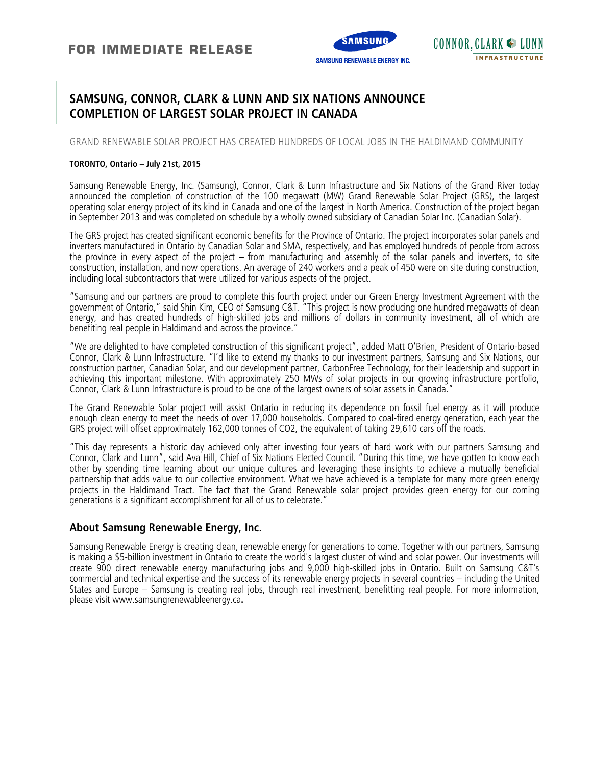

# **SAMSUNG, CONNOR, CLARK & LUNN AND SIX NATIONS ANNOUNCE COMPLETION OF LARGEST SOLAR PROJECT IN CANADA**

GRAND RENEWABLE SOLAR PROJECT HAS CREATED HUNDREDS OF LOCAL JOBS IN THE HALDIMAND COMMUNITY

#### **TORONTO, Ontario – July 21st, 2015**

Samsung Renewable Energy, Inc. (Samsung), Connor, Clark & Lunn Infrastructure and Six Nations of the Grand River today announced the completion of construction of the 100 megawatt (MW) Grand Renewable Solar Project (GRS), the largest operating solar energy project of its kind in Canada and one of the largest in North America. Construction of the project began in September 2013 and was completed on schedule by a wholly owned subsidiary of Canadian Solar Inc. (Canadian Solar).

The GRS project has created significant economic benefits for the Province of Ontario. The project incorporates solar panels and inverters manufactured in Ontario by Canadian Solar and SMA, respectively, and has employed hundreds of people from across the province in every aspect of the project – from manufacturing and assembly of the solar panels and inverters, to site construction, installation, and now operations. An average of 240 workers and a peak of 450 were on site during construction, including local subcontractors that were utilized for various aspects of the project.

"Samsung and our partners are proud to complete this fourth project under our Green Energy Investment Agreement with the government of Ontario," said Shin Kim, CEO of Samsung C&T. "This project is now producing one hundred megawatts of clean energy, and has created hundreds of high-skilled jobs and millions of dollars in community investment, all of which are benefiting real people in Haldimand and across the province."

"We are delighted to have completed construction of this significant project", added Matt O'Brien, President of Ontario-based Connor, Clark & Lunn Infrastructure. "I'd like to extend my thanks to our investment partners, Samsung and Six Nations, our construction partner, Canadian Solar, and our development partner, CarbonFree Technology, for their leadership and support in achieving this important milestone. With approximately 250 MWs of solar projects in our growing infrastructure portfolio, Connor, Clark & Lunn Infrastructure is proud to be one of the largest owners of solar assets in Canada."

The Grand Renewable Solar project will assist Ontario in reducing its dependence on fossil fuel energy as it will produce enough clean energy to meet the needs of over 17,000 households. Compared to coal-fired energy generation, each year the GRS project will offset approximately 162,000 tonnes of CO2, the equivalent of taking 29,610 cars off the roads.

"This day represents a historic day achieved only after investing four years of hard work with our partners Samsung and Connor, Clark and Lunn", said Ava Hill, Chief of Six Nations Elected Council. "During this time, we have gotten to know each other by spending time learning about our unique cultures and leveraging these insights to achieve a mutually beneficial partnership that adds value to our collective environment. What we have achieved is a template for many more green energy projects in the Haldimand Tract. The fact that the Grand Renewable solar project provides green energy for our coming generations is a significant accomplishment for all of us to celebrate."

### **About Samsung Renewable Energy, Inc.**

Samsung Renewable Energy is creating clean, renewable energy for generations to come. Together with our partners, Samsung is making a \$5-billion investment in Ontario to create the world's largest cluster of wind and solar power. Our investments will create 900 direct renewable energy manufacturing jobs and 9,000 high-skilled jobs in Ontario. Built on Samsung C&T's commercial and technical expertise and the success of its renewable energy projects in several countries – including the United States and Europe – Samsung is creating real jobs, through real investment, benefitting real people. For more information, please visit www.samsungrenewableenergy.ca**.**